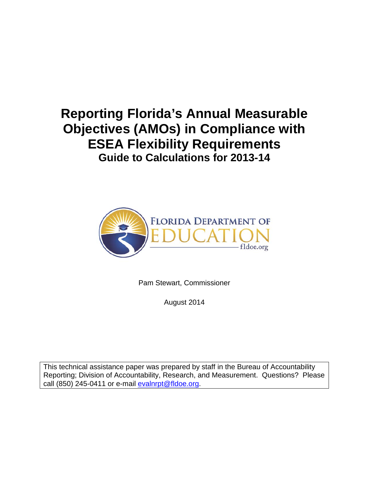# **Reporting Florida's Annual Measurable Objectives (AMOs) in Compliance with ESEA Flexibility Requirements Guide to Calculations for 2013-14**



Pam Stewart, Commissioner

August 2014

This technical assistance paper was prepared by staff in the Bureau of Accountability Reporting; Division of Accountability, Research, and Measurement. Questions? Please call (850) 245-0411 or e-mail  $e$ valnrpt@fldoe.org.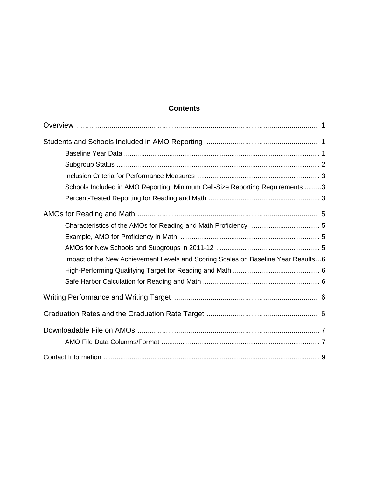# **Contents**

| Schools Included in AMO Reporting, Minimum Cell-Size Reporting Requirements 3     |  |
|-----------------------------------------------------------------------------------|--|
|                                                                                   |  |
|                                                                                   |  |
|                                                                                   |  |
|                                                                                   |  |
|                                                                                   |  |
| Impact of the New Achievement Levels and Scoring Scales on Baseline Year Results6 |  |
|                                                                                   |  |
|                                                                                   |  |
|                                                                                   |  |
|                                                                                   |  |
|                                                                                   |  |
|                                                                                   |  |
|                                                                                   |  |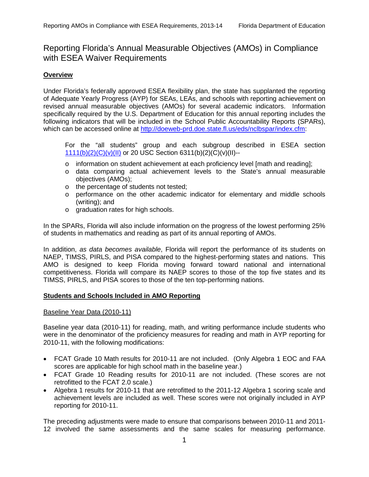# <span id="page-2-0"></span>Reporting Florida's Annual Measurable Objectives (AMOs) in Compliance with ESEA Waiver Requirements

# **Overview**

Under Florida's federally approved ESEA flexibility plan, the state has supplanted the reporting of Adequate Yearly Progress (AYP) for SEAs, LEAs, and schools with reporting achievement on revised annual measurable objectives (AMOs) for several academic indicators. Information specifically required by the U.S. Department of Education for this annual reporting includes the following indicators that will be included in the School Public Accountability Reports (SPARs), which can be accessed online at [http://doeweb-prd.doe.state.fl.us/eds/nclbspar/index.cfm:](http://doeweb-prd.doe.state.fl.us/eds/nclbspar/index.cfm)

For the "all students" group and each subgroup described in ESEA section [1111\(b\)\(2\)\(C\)\(v\)\(II\)](http://www2.ed.gov/policy/elsec/leg/esea02/pg2.html#sec1111) or 20 USC Section 6311(b)(2)(C)(v)(II)--

- o information on student achievement at each proficiency level [math and reading];
- o data comparing actual achievement levels to the State's annual measurable objectives (AMOs);
- o the percentage of students not tested;
- o performance on the other academic indicator for elementary and middle schools (writing); and
- o graduation rates for high schools.

In the SPARs, Florida will also include information on the progress of the lowest performing 25% of students in mathematics and reading as part of its annual reporting of AMOs.

In addition, *as data becomes available*, Florida will report the performance of its students on NAEP, TIMSS, PIRLS, and PISA compared to the highest-performing states and nations. This AMO is designed to keep Florida moving forward toward national and international competitiveness. Florida will compare its NAEP scores to those of the top five states and its TIMSS, PIRLS, and PISA scores to those of the ten top-performing nations.

#### **Students and Schools Included in AMO Reporting**

#### Baseline Year Data (2010-11)

Baseline year data (2010-11) for reading, math, and writing performance include students who were in the denominator of the proficiency measures for reading and math in AYP reporting for 2010-11, with the following modifications:

- FCAT Grade 10 Math results for 2010-11 are not included. (Only Algebra 1 EOC and FAA scores are applicable for high school math in the baseline year.)
- FCAT Grade 10 Reading results for 2010-11 are not included. (These scores are not retrofitted to the FCAT 2.0 scale.)
- Algebra 1 results for 2010-11 that are retrofitted to the 2011-12 Algebra 1 scoring scale and achievement levels are included as well. These scores were not originally included in AYP reporting for 2010-11.

The preceding adjustments were made to ensure that comparisons between 2010-11 and 2011- 12 involved the same assessments and the same scales for measuring performance.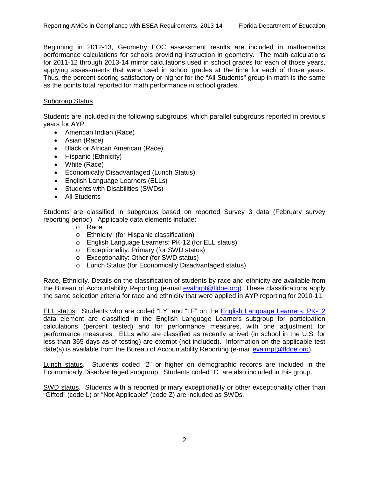<span id="page-3-0"></span>Beginning in 2012-13, Geometry EOC assessment results are included in mathematics performance calculations for schools providing instruction in geometry. The math calculations for 2011-12 through 2013-14 mirror calculations used in school grades for each of those years, applying assessments that were used in school grades at the time for each of those years. Thus, the percent scoring satisfactory or higher for the "All Students" group in math is the same as the points total reported for math performance in school grades.

# Subgroup Status

Students are included in the following subgroups, which parallel subgroups reported in previous years for AYP:

- American Indian (Race)
- Asian (Race)
- Black or African American (Race)
- Hispanic (Ethnicity)
- White (Race)
- Economically Disadvantaged (Lunch Status)
- English Language Learners (ELLs)
- Students with Disabilities (SWDs)
- All Students

Students are classified in subgroups based on reported Survey 3 data (February survey reporting period). Applicable data elements include:

- o Race
- o Ethnicity (for Hispanic classification)
- o English Language Learners: PK-12 (for ELL status)
- o Exceptionality: Primary (for SWD status)
- o Exceptionality: Other (for SWD status)
- o Lunch Status (for Economically Disadvantaged status)

Race, Ethnicity. Details on the classification of students by race and ethnicity are available from the Bureau of Accountability Reporting (e-mail [evalnrpt@fldoe.org\)](mailto:evalnrpt@fldoe.org). These classifications apply the same selection criteria for race and ethnicity that were applied in AYP reporting for 2010-11.

ELL status. Students who are coded "LY" and "LF" on the [English Language Learners: PK-12](http://www.fldoe.org/eias/dataweb/database_1112/144025.pdf) data element are classified in the English Language Learners subgroup for participation calculations (percent tested) and for performance measures, with one adjustment for performance measures: ELLs who are classified as recently arrived (in school in the U.S. for less than 365 days as of testing) are exempt (not included). Information on the applicable test date(s) is available from the Bureau of Accountability Reporting (e-mail [evalnrpt@fldoe.org\)](mailto:evalnrpt@fldoe.org).

Lunch status. Students coded "2" or higher on demographic records are included in the Economically Disadvantaged subgroup. Students coded "C" are also included in this group.

SWD status. Students with a reported primary exceptionality or other exceptionality other than "Gifted" (code L) or "Not Applicable" (code Z) are included as SWDs.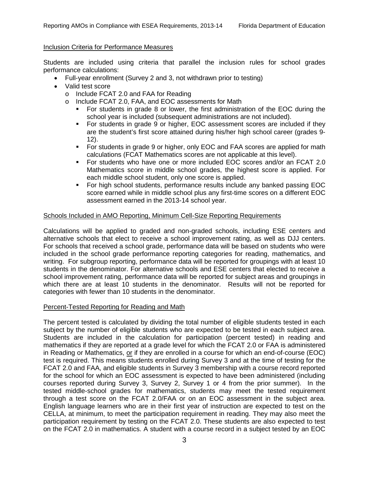# <span id="page-4-0"></span>Inclusion Criteria for Performance Measures

Students are included using criteria that parallel the inclusion rules for school grades performance calculations:

- Full-year enrollment (Survey 2 and 3, not withdrawn prior to testing)
- Valid test score
	- o Include FCAT 2.0 and FAA for Reading
	- o Include FCAT 2.0, FAA, and EOC assessments for Math
		- For students in grade 8 or lower, the first administration of the EOC during the school year is included (subsequent administrations are not included).
		- For students in grade 9 or higher, EOC assessment scores are included if they are the student's first score attained during his/her high school career (grades 9- 12).
		- For students in grade 9 or higher, only EOC and FAA scores are applied for math calculations (FCAT Mathematics scores are not applicable at this level).
		- For students who have one or more included EOC scores and/or an FCAT 2.0 Mathematics score in middle school grades, the highest score is applied. For each middle school student, only one score is applied.
		- For high school students, performance results include any banked passing EOC score earned while in middle school plus any first-time scores on a different EOC assessment earned in the 2013-14 school year.

# Schools Included in AMO Reporting, Minimum Cell-Size Reporting Requirements

Calculations will be applied to graded and non-graded schools, including ESE centers and alternative schools that elect to receive a school improvement rating, as well as DJJ centers. For schools that received a school grade, performance data will be based on students who were included in the school grade performance reporting categories for reading, mathematics, and writing. For subgroup reporting, performance data will be reported for groupings with at least 10 students in the denominator. For alternative schools and ESE centers that elected to receive a school improvement rating, performance data will be reported for subject areas and groupings in which there are at least 10 students in the denominator. Results will not be reported for categories with fewer than 10 students in the denominator.

# Percent-Tested Reporting for Reading and Math

The percent tested is calculated by dividing the total number of eligible students tested in each subject by the number of eligible students who are expected to be tested in each subject area. Students are included in the calculation for participation (percent tested) in reading and mathematics if they are reported at a grade level for which the FCAT 2.0 or FAA is administered in Reading or Mathematics, or if they are enrolled in a course for which an end-of-course (EOC) test is required. This means students enrolled during Survey 3 and at the time of testing for the FCAT 2.0 and FAA, and eligible students in Survey 3 membership with a course record reported for the school for which an EOC assessment is expected to have been administered (including courses reported during Survey 3, Survey 2, Survey 1 or 4 from the prior summer). In the tested middle-school grades for mathematics, students may meet the tested requirement through a test score on the FCAT 2.0/FAA or on an EOC assessment in the subject area. English language learners who are in their first year of instruction are expected to test on the CELLA, at minimum, to meet the participation requirement in reading. They may also meet the participation requirement by testing on the FCAT 2.0. These students are also expected to test on the FCAT 2.0 in mathematics. A student with a course record in a subject tested by an EOC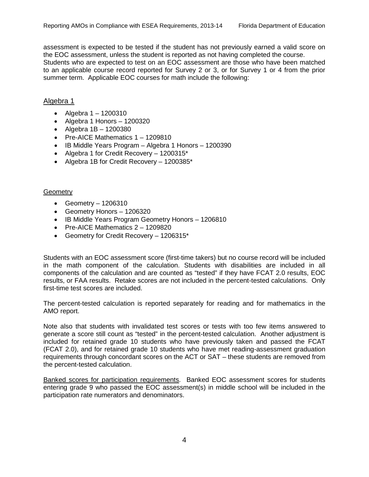assessment is expected to be tested if the student has not previously earned a valid score on the EOC assessment, unless the student is reported as not having completed the course. Students who are expected to test on an EOC assessment are those who have been matched to an applicable course record reported for Survey 2 or 3, or for Survey 1 or 4 from the prior summer term. Applicable EOC courses for math include the following:

# Algebra 1

- Algebra  $1 1200310$
- Algebra 1 Honors 1200320
- Algebra  $1B 1200380$
- Pre-AICE Mathematics 1 1209810
- IB Middle Years Program Algebra 1 Honors 1200390
- Algebra 1 for Credit Recovery 1200315\*
- Algebra 1B for Credit Recovery 1200385\*

#### **Geometry**

- Geometry 1206310
- Geometry Honors 1206320
- IB Middle Years Program Geometry Honors 1206810
- Pre-AICE Mathematics 2 1209820
- Geometry for Credit Recovery 1206315\*

Students with an EOC assessment score (first-time takers) but no course record will be included in the math component of the calculation. Students with disabilities are included in all components of the calculation and are counted as "tested" if they have FCAT 2.0 results, EOC results, or FAA results. Retake scores are not included in the percent-tested calculations. Only first-time test scores are included.

The percent-tested calculation is reported separately for reading and for mathematics in the AMO report.

Note also that students with invalidated test scores or tests with too few items answered to generate a score still count as "tested" in the percent-tested calculation. Another adjustment is included for retained grade 10 students who have previously taken and passed the FCAT (FCAT 2.0), and for retained grade 10 students who have met reading-assessment graduation requirements through concordant scores on the ACT or SAT – these students are removed from the percent-tested calculation.

Banked scores for participation requirements. Banked EOC assessment scores for students entering grade 9 who passed the EOC assessment(s) in middle school will be included in the participation rate numerators and denominators.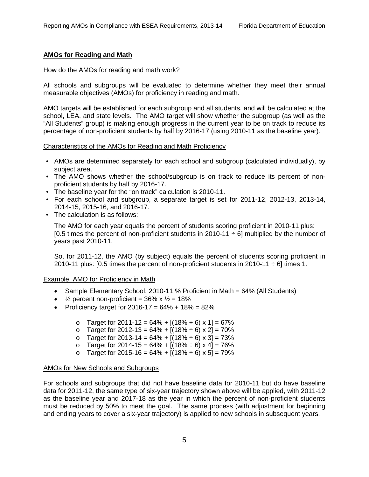#### <span id="page-6-0"></span>**AMOs for Reading and Math**

#### How do the AMOs for reading and math work?

All schools and subgroups will be evaluated to determine whether they meet their annual measurable objectives (AMOs) for proficiency in reading and math.

AMO targets will be established for each subgroup and all students, and will be calculated at the school, LEA, and state levels. The AMO target will show whether the subgroup (as well as the "All Students" group) is making enough progress in the current year to be on track to reduce its percentage of non-proficient students by half by 2016-17 (using 2010-11 as the baseline year).

#### Characteristics of the AMOs for Reading and Math Proficiency

- AMOs are determined separately for each school and subgroup (calculated individually), by subject area.
- The AMO shows whether the school/subgroup is on track to reduce its percent of nonproficient students by half by 2016-17.
- The baseline year for the "on track" calculation is 2010-11.
- For each school and subgroup, a separate target is set for 2011-12, 2012-13, 2013-14, 2014-15, 2015-16, and 2016-17.
- The calculation is as follows:

The AMO for each year equals the percent of students scoring proficient in 2010-11 plus:  $[0.5$  times the percent of non-proficient students in 2010-11  $\div$  6] multiplied by the number of years past 2010-11.

So, for 2011-12, the AMO (by subject) equals the percent of students scoring proficient in 2010-11 plus: [0.5 times the percent of non-proficient students in 2010-11  $\div$  6] times 1.

#### Example, AMO for Proficiency in Math

- Sample Elementary School: 2010-11 % Proficient in Math = 64% (All Students)
- $\frac{1}{2}$  percent non-proficient = 36% x  $\frac{1}{2}$  = 18%
- Proficiency target for  $2016 17 = 64\% + 18\% = 82\%$ 
	- o Target for 2011-12 =  $64\%$  +  $[(18\% \div 6) \times 1]$  = 67%
	- o Target for 2012-13 =  $64\% + [(18\% \div 6) \times 2] = 70\%$
	- o Target for 2013-14 =  $64\% + [(18\% \div 6) \times 3] = 73\%$
	- o Target for 2014-15 =  $64\%$  +  $[(18\% \div 6) \times 4]$  = 76%
	- o Target for 2015-16 =  $64\% + [(18\% \div 6) \times 5] = 79\%$

#### AMOs for New Schools and Subgroups

For schools and subgroups that did not have baseline data for 2010-11 but do have baseline data for 2011-12, the same type of six-year trajectory shown above will be applied, with 2011-12 as the baseline year and 2017-18 as the year in which the percent of non-proficient students must be reduced by 50% to meet the goal. The same process (with adjustment for beginning and ending years to cover a six-year trajectory) is applied to new schools in subsequent years.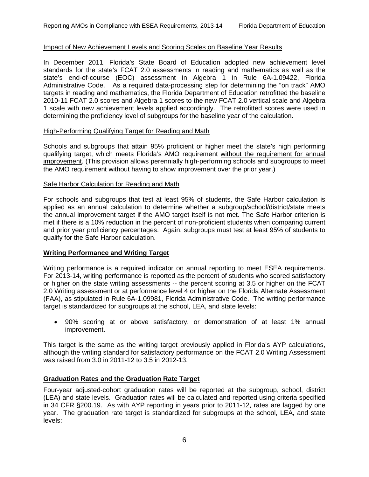#### <span id="page-7-0"></span>Impact of New Achievement Levels and Scoring Scales on Baseline Year Results

In December 2011, Florida's State Board of Education adopted new achievement level standards for the state's FCAT 2.0 assessments in reading and mathematics as well as the state's end-of-course (EOC) assessment in Algebra 1 in Rule 6A-1.09422, Florida Administrative Code. As a required data-processing step for determining the "on track" AMO targets in reading and mathematics, the Florida Department of Education retrofitted the baseline 2010-11 FCAT 2.0 scores and Algebra 1 scores to the new FCAT 2.0 vertical scale and Algebra 1 scale with new achievement levels applied accordingly. The retrofitted scores were used in determining the proficiency level of subgroups for the baseline year of the calculation.

#### High-Performing Qualifying Target for Reading and Math

Schools and subgroups that attain 95% proficient or higher meet the state's high performing qualifying target, which meets Florida's AMO requirement without the requirement for annual improvement. (This provision allows perennially high-performing schools and subgroups to meet the AMO requirement without having to show improvement over the prior year.)

#### Safe Harbor Calculation for Reading and Math

For schools and subgroups that test at least 95% of students, the Safe Harbor calculation is applied as an annual calculation to determine whether a subgroup/school/district/state meets the annual improvement target if the AMO target itself is not met. The Safe Harbor criterion is met if there is a 10% reduction in the percent of non-proficient students when comparing current and prior year proficiency percentages. Again, subgroups must test at least 95% of students to qualify for the Safe Harbor calculation.

# **Writing Performance and Writing Target**

Writing performance is a required indicator on annual reporting to meet ESEA requirements. For 2013-14, writing performance is reported as the percent of students who scored satisfactory or higher on the state writing assessments -- the percent scoring at 3.5 or higher on the FCAT 2.0 Writing assessment or at performance level 4 or higher on the Florida Alternate Assessment (FAA), as stipulated in Rule 6A-1.09981, Florida Administrative Code. The writing performance target is standardized for subgroups at the school, LEA, and state levels:

• 90% scoring at or above satisfactory, or demonstration of at least 1% annual improvement.

This target is the same as the writing target previously applied in Florida's AYP calculations, although the writing standard for satisfactory performance on the FCAT 2.0 Writing Assessment was raised from 3.0 in 2011-12 to 3.5 in 2012-13.

# **Graduation Rates and the Graduation Rate Target**

Four-year adjusted-cohort graduation rates will be reported at the subgroup, school, district (LEA) and state levels. Graduation rates will be calculated and reported using criteria specified in 34 CFR §200.19. As with AYP reporting in years prior to 2011-12, rates are lagged by one year. The graduation rate target is standardized for subgroups at the school, LEA, and state levels: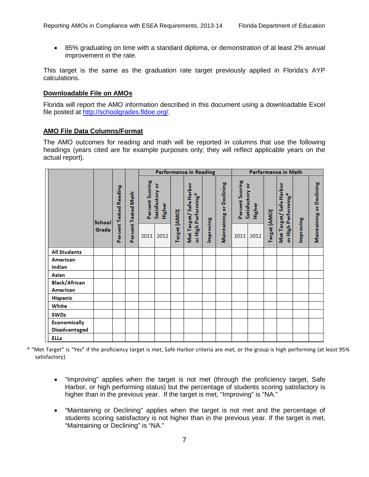<span id="page-8-0"></span>• 85% graduating on time with a standard diploma, or demonstration of at least 2% annual improvement in the rate.

This target is the same as the graduation rate target previously applied in Florida's AYP calculations.

#### **Downloadable File on AMOs**

Florida will report the AMO information described in this document using a downloadable Excel file posted at [http://schoolgrades.fldoe.org/.](http://schoolgrades.fldoe.org/)

#### **AMO File Data Columns/Format**

The AMO outcomes for reading and math will be reported in columns that use the following headings (years cited are for example purposes only; they will reflect applicable years on the actual report).

|                                             |                 |                        |                     | <b>Performance in Reading</b> |                           |              |                                               |           |                                 | Performance in Math                          |      |              |                                               |           |                          |
|---------------------------------------------|-----------------|------------------------|---------------------|-------------------------------|---------------------------|--------------|-----------------------------------------------|-----------|---------------------------------|----------------------------------------------|------|--------------|-----------------------------------------------|-----------|--------------------------|
|                                             | School<br>Grade | Percent Tested Reading | Percent Tested Math | Percent Scoring               | Satisfactory or<br>Higher |              | Met Target/Safe Harbor<br>or High Performing* |           | <b>Maintaining or Declining</b> | Percent Scoring<br>Satisfactory or<br>Higher |      |              | Met Target/Safe Harbor<br>or High Performing* |           | Maintaining or Declining |
|                                             |                 |                        |                     | 2011                          | 2012                      | Target (AMO) |                                               | Improving |                                 | 2011                                         | 2012 | Target (AMO) |                                               | Improving |                          |
| <b>All Students</b>                         |                 |                        |                     |                               |                           |              |                                               |           |                                 |                                              |      |              |                                               |           |                          |
| American<br>Indian                          |                 |                        |                     |                               |                           |              |                                               |           |                                 |                                              |      |              |                                               |           |                          |
| Asian                                       |                 |                        |                     |                               |                           |              |                                               |           |                                 |                                              |      |              |                                               |           |                          |
| <b>Black/African</b><br>American            |                 |                        |                     |                               |                           |              |                                               |           |                                 |                                              |      |              |                                               |           |                          |
| <b>Hispanic</b>                             |                 |                        |                     |                               |                           |              |                                               |           |                                 |                                              |      |              |                                               |           |                          |
| White                                       |                 |                        |                     |                               |                           |              |                                               |           |                                 |                                              |      |              |                                               |           |                          |
| <b>SWDs</b>                                 |                 |                        |                     |                               |                           |              |                                               |           |                                 |                                              |      |              |                                               |           |                          |
| <b>Economically</b><br><b>Disadvantaged</b> |                 |                        |                     |                               |                           |              |                                               |           |                                 |                                              |      |              |                                               |           |                          |
| ELLs                                        |                 |                        |                     |                               |                           |              |                                               |           |                                 |                                              |      |              |                                               |           |                          |

\* "Met Target" is "Yes" if the proficiency target is met, Safe Harbor criteria are met, or the group is high performing (at least 95% satisfactory).

- "Improving" applies when the target is not met (through the proficiency target, Safe Harbor, or high performing status) but the percentage of students scoring satisfactory is higher than in the previous year. If the target is met, "Improving" is "NA."
- "Maintaining or Declining" applies when the target is not met and the percentage of students scoring satisfactory is not higher than in the previous year. If the target is met, "Maintaining or Declining" is "NA."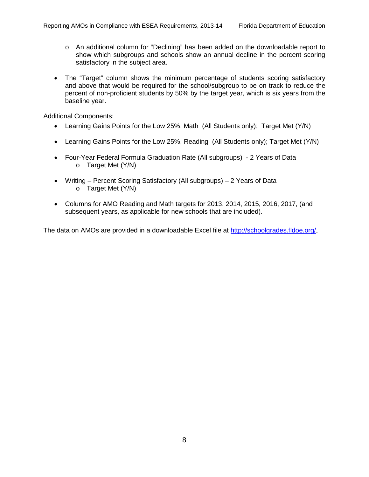- o An additional column for "Declining" has been added on the downloadable report to show which subgroups and schools show an annual decline in the percent scoring satisfactory in the subject area.
- The "Target" column shows the minimum percentage of students scoring satisfactory and above that would be required for the school/subgroup to be on track to reduce the percent of non-proficient students by 50% by the target year, which is six years from the baseline year.

Additional Components:

- Learning Gains Points for the Low 25%, Math (All Students only); Target Met (Y/N)
- Learning Gains Points for the Low 25%, Reading (All Students only); Target Met (Y/N)
- Four-Year Federal Formula Graduation Rate (All subgroups) 2 Years of Data o Target Met (Y/N)
- Writing Percent Scoring Satisfactory (All subgroups) 2 Years of Data o Target Met (Y/N)
- Columns for AMO Reading and Math targets for 2013, 2014, 2015, 2016, 2017, (and subsequent years, as applicable for new schools that are included).

The data on AMOs are provided in a downloadable Excel file at [http://schoolgrades.fldoe.org/.](http://schoolgrades.fldoe.org/)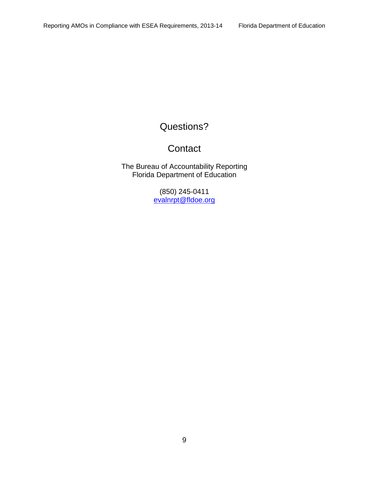# <span id="page-10-0"></span>Questions?

# **Contact**

The Bureau of Accountability Reporting Florida Department of Education

> (850) 245-0411 [evalnrpt@fldoe.org](mailto:evalnrpt@fldoe.org)